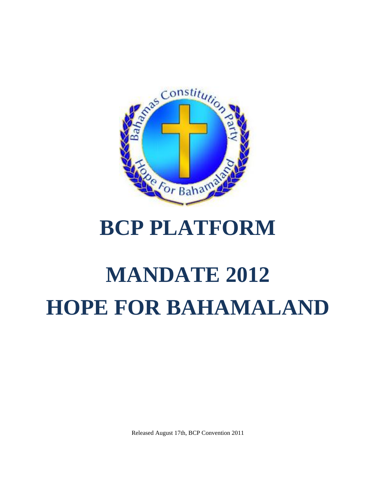

## **BCP PLATFORM**

# **MANDATE 2012 HOPE FOR BAHAMALAND**

Released August 17th, BCP Convention 2011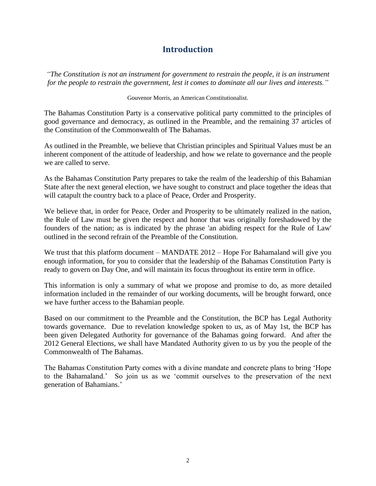## **Introduction**

*"The Constitution is not an instrument for government to restrain the people, it is an instrument for the people to restrain the government, lest it comes to dominate all our lives and interests."*

Gouvenor Morris, an American Constitutionalist.

The Bahamas Constitution Party is a conservative political party committed to the principles of good governance and democracy, as outlined in the Preamble, and the remaining 37 articles of the Constitution of the Commonwealth of The Bahamas.

As outlined in the Preamble, we believe that Christian principles and Spiritual Values must be an inherent component of the attitude of leadership, and how we relate to governance and the people we are called to serve.

As the Bahamas Constitution Party prepares to take the realm of the leadership of this Bahamian State after the next general election, we have sought to construct and place together the ideas that will catapult the country back to a place of Peace, Order and Prosperity.

We believe that, in order for Peace, Order and Prosperity to be ultimately realized in the nation, the Rule of Law must be given the respect and honor that was originally foreshadowed by the founders of the nation; as is indicated by the phrase 'an abiding respect for the Rule of Law' outlined in the second refrain of the Preamble of the Constitution.

We trust that this platform document – MANDATE 2012 – Hope For Bahamaland will give you enough information, for you to consider that the leadership of the Bahamas Constitution Party is ready to govern on Day One, and will maintain its focus throughout its entire term in office.

This information is only a summary of what we propose and promise to do, as more detailed information included in the remainder of our working documents, will be brought forward, once we have further access to the Bahamian people.

Based on our commitment to the Preamble and the Constitution, the BCP has Legal Authority towards governance. Due to revelation knowledge spoken to us, as of May 1st, the BCP has been given Delegated Authority for governance of the Bahamas going forward. And after the 2012 General Elections, we shall have Mandated Authority given to us by you the people of the Commonwealth of The Bahamas.

The Bahamas Constitution Party comes with a divine mandate and concrete plans to bring 'Hope to the Bahamaland.' So join us as we 'commit ourselves to the preservation of the next generation of Bahamians.'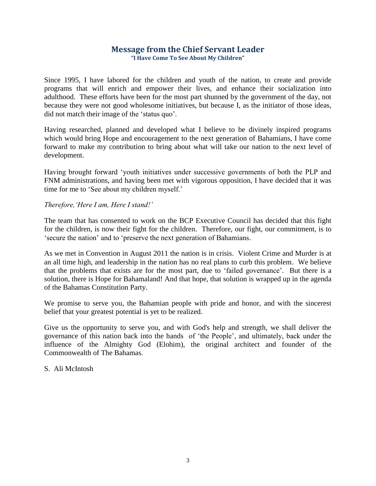#### **Message from the Chief Servant Leader "I Have Come To See About My Children"**

Since 1995, I have labored for the children and youth of the nation, to create and provide programs that will enrich and empower their lives, and enhance their socialization into adulthood. These efforts have been for the most part shunned by the government of the day, not because they were not good wholesome initiatives, but because I, as the initiator of those ideas, did not match their image of the 'status quo'.

Having researched, planned and developed what I believe to be divinely inspired programs which would bring Hope and encouragement to the next generation of Bahamians, I have come forward to make my contribution to bring about what will take our nation to the next level of development.

Having brought forward 'youth initiatives under successive governments of both the PLP and FNM administrations, and having been met with vigorous opposition, I have decided that it was time for me to 'See about my children myself.'

#### *Therefore,'Here I am, Here I stand!'*

The team that has consented to work on the BCP Executive Council has decided that this fight for the children, is now their fight for the children. Therefore, our fight, our commitment, is to 'secure the nation' and to 'preserve the next generation of Bahamians.

As we met in Convention in August 2011 the nation is in crisis. Violent Crime and Murder is at an all time high, and leadership in the nation has no real plans to curb this problem. We believe that the problems that exists are for the most part, due to 'failed governance'. But there is a solution, there is Hope for Bahamaland! And that hope, that solution is wrapped up in the agenda of the Bahamas Constitution Party.

We promise to serve you, the Bahamian people with pride and honor, and with the sincerest belief that your greatest potential is yet to be realized.

Give us the opportunity to serve you, and with God's help and strength, we shall deliver the governance of this nation back into the hands of 'the People', and ultimately, back under the influence of the Almighty God (Elohim), the original architect and founder of the Commonwealth of The Bahamas.

#### S. Ali McIntosh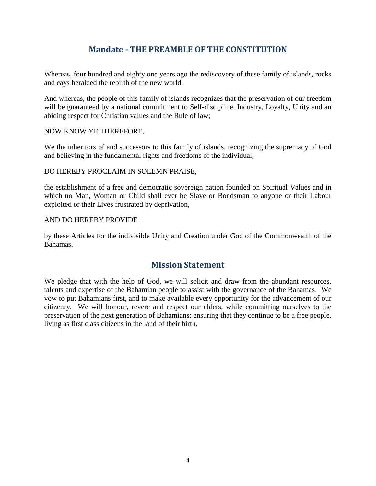## **Mandate - THE PREAMBLE OF THE CONSTITUTION**

Whereas, four hundred and eighty one years ago the rediscovery of these family of islands, rocks and cays heralded the rebirth of the new world,

And whereas, the people of this family of islands recognizes that the preservation of our freedom will be guaranteed by a national commitment to Self-discipline, Industry, Loyalty, Unity and an abiding respect for Christian values and the Rule of law;

#### NOW KNOW YE THEREFORE,

We the inheritors of and successors to this family of islands, recognizing the supremacy of God and believing in the fundamental rights and freedoms of the individual,

#### DO HEREBY PROCLAIM IN SOLEMN PRAISE,

the establishment of a free and democratic sovereign nation founded on Spiritual Values and in which no Man, Woman or Child shall ever be Slave or Bondsman to anyone or their Labour exploited or their Lives frustrated by deprivation,

#### AND DO HEREBY PROVIDE

by these Articles for the indivisible Unity and Creation under God of the Commonwealth of the Bahamas.

#### **Mission Statement**

We pledge that with the help of God, we will solicit and draw from the abundant resources, talents and expertise of the Bahamian people to assist with the governance of the Bahamas. We vow to put Bahamians first, and to make available every opportunity for the advancement of our citizenry. We will honour, revere and respect our elders, while committing ourselves to the preservation of the next generation of Bahamians; ensuring that they continue to be a free people, living as first class citizens in the land of their birth.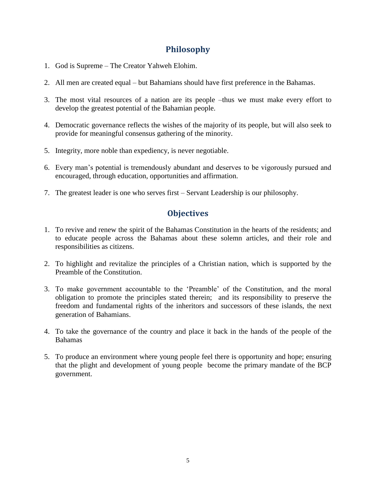## **Philosophy**

- 1. God is Supreme The Creator Yahweh Elohim.
- 2. All men are created equal but Bahamians should have first preference in the Bahamas.
- 3. The most vital resources of a nation are its people –thus we must make every effort to develop the greatest potential of the Bahamian people.
- 4. Democratic governance reflects the wishes of the majority of its people, but will also seek to provide for meaningful consensus gathering of the minority.
- 5. Integrity, more noble than expediency, is never negotiable.
- 6. Every man's potential is tremendously abundant and deserves to be vigorously pursued and encouraged, through education, opportunities and affirmation.
- 7. The greatest leader is one who serves first Servant Leadership is our philosophy.

## **Objectives**

- 1. To revive and renew the spirit of the Bahamas Constitution in the hearts of the residents; and to educate people across the Bahamas about these solemn articles, and their role and responsibilities as citizens.
- 2. To highlight and revitalize the principles of a Christian nation, which is supported by the Preamble of the Constitution.
- 3. To make government accountable to the 'Preamble' of the Constitution, and the moral obligation to promote the principles stated therein; and its responsibility to preserve the freedom and fundamental rights of the inheritors and successors of these islands, the next generation of Bahamians.
- 4. To take the governance of the country and place it back in the hands of the people of the Bahamas
- 5. To produce an environment where young people feel there is opportunity and hope; ensuring that the plight and development of young people become the primary mandate of the BCP government.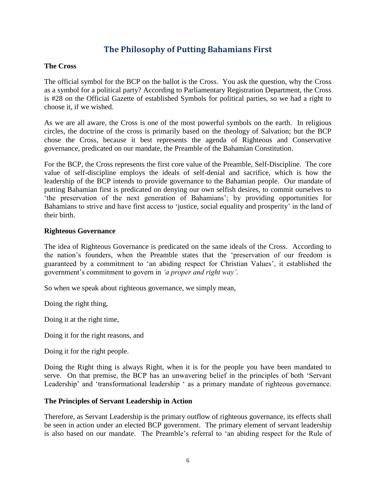## **The Philosophy of Putting Bahamians First**

#### **The Cross**

The official symbol for the BCP on the ballot is the Cross. You ask the question, why the Cross as a symbol for a political party? According to Parliamentary Registration Department, the Cross is #28 on the Official Gazette of established Symbols for political parties, so we had a right to choose it, if we wished.

As we are all aware, the Cross is one of the most powerful symbols on the earth. In religious circles, the doctrine of the cross is primarily based on the theology of Salvation; but the BCP chose the Cross, because it best represents the agenda of Righteous and Conservative governance, predicated on our mandate, the Preamble of the Bahamian Constitution.

For the BCP, the Cross represents the first core value of the Preamble, Self-Discipline. The core value of self-discipline employs the ideals of self-denial and sacrifice, which is how the leadership of the BCP intends to provide governance to the Bahamian people. Our mandate of putting Bahamian first is predicated on denying our own selfish desires, to commit ourselves to 'the preservation of the next generation of Bahamians'; by providing opportunities for Bahamians to strive and have first access to 'justice, social equality and prosperity' in the land of their birth.

#### **Righteous Governance**

The idea of Righteous Governance is predicated on the same ideals of the Cross. According to the nation's founders, when the Preamble states that the 'preservation of our freedom is guaranteed by a commitment to 'an abiding respect for Christian Values', it established the government's commitment to govern in *'a proper and right way'*.

So when we speak about righteous governance, we simply mean,

Doing the right thing,

Doing it at the right time,

Doing it for the right reasons, and

Doing it for the right people.

Doing the Right thing is always Right, when it is for the people you have been mandated to serve. On that premise, the BCP has an unwavering belief in the principles of both 'Servant Leadership' and 'transformational leadership ' as a primary mandate of righteous governance.

#### **The Principles of Servant Leadership in Action**

Therefore, as Servant Leadership is the primary outflow of righteous governance, its effects shall be seen in action under an elected BCP government. The primary element of servant leadership is also based on our mandate. The Preamble's referral to 'an abiding respect for the Rule of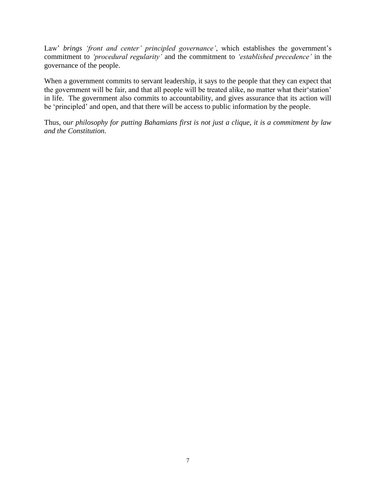Law' *brings 'front and center' principled governance'*, which establishes the government's commitment to *'procedural regularity'* and the commitment to *'established precedence'* in the governance of the people.

When a government commits to servant leadership, it says to the people that they can expect that the government will be fair, and that all people will be treated alike, no matter what their'station' in life. The government also commits to accountability, and gives assurance that its action will be 'principled' and open, and that there will be access to public information by the people.

Thus, o*ur philosophy for putting Bahamians first is not just a clique, it is a commitment by law and the Constitution.*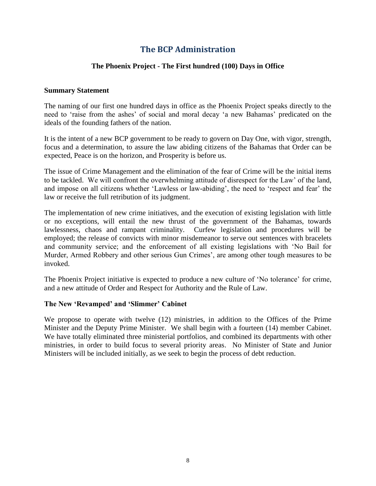## **The BCP Administration**

#### **The Phoenix Project - The First hundred (100) Days in Office**

#### **Summary Statement**

The naming of our first one hundred days in office as the Phoenix Project speaks directly to the need to 'raise from the ashes' of social and moral decay 'a new Bahamas' predicated on the ideals of the founding fathers of the nation.

It is the intent of a new BCP government to be ready to govern on Day One, with vigor, strength, focus and a determination, to assure the law abiding citizens of the Bahamas that Order can be expected, Peace is on the horizon, and Prosperity is before us.

The issue of Crime Management and the elimination of the fear of Crime will be the initial items to be tackled. We will confront the overwhelming attitude of disrespect for the Law' of the land, and impose on all citizens whether 'Lawless or law-abiding', the need to 'respect and fear' the law or receive the full retribution of its judgment.

The implementation of new crime initiatives, and the execution of existing legislation with little or no exceptions, will entail the new thrust of the government of the Bahamas, towards lawlessness, chaos and rampant criminality. Curfew legislation and procedures will be employed; the release of convicts with minor misdemeanor to serve out sentences with bracelets and community service; and the enforcement of all existing legislations with 'No Bail for Murder, Armed Robbery and other serious Gun Crimes', are among other tough measures to be invoked.

The Phoenix Project initiative is expected to produce a new culture of 'No tolerance' for crime, and a new attitude of Order and Respect for Authority and the Rule of Law.

#### **The New 'Revamped' and 'Slimmer' Cabinet**

We propose to operate with twelve (12) ministries, in addition to the Offices of the Prime Minister and the Deputy Prime Minister. We shall begin with a fourteen (14) member Cabinet. We have totally eliminated three ministerial portfolios, and combined its departments with other ministries, in order to build focus to several priority areas. No Minister of State and Junior Ministers will be included initially, as we seek to begin the process of debt reduction.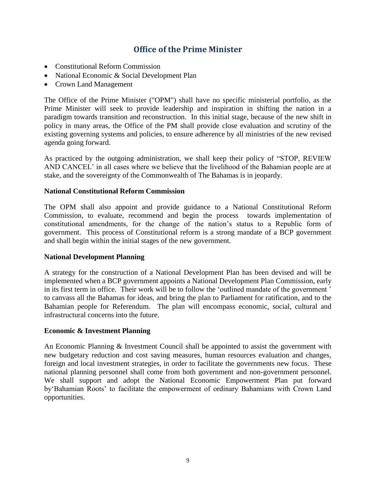## **Office of the Prime Minister**

- Constitutional Reform Commission
- National Economic & Social Development Plan
- Crown Land Management

The Office of the Prime Minister ("OPM") shall have no specific ministerial portfolio, as the Prime Minister will seek to provide leadership and inspiration in shifting the nation in a paradigm towards transition and reconstruction. In this initial stage, because of the new shift in policy in many areas, the Office of the PM shall provide close evaluation and scrutiny of the existing governing systems and policies, to ensure adherence by all ministries of the new revised agenda going forward.

As practiced by the outgoing administration, we shall keep their policy of "STOP, REVIEW AND CANCEL' in all cases where we believe that the livelihood of the Bahamian people are at stake, and the sovereignty of the Commonwealth of The Bahamas is in jeopardy.

#### **National Constitutional Reform Commission**

The OPM shall also appoint and provide guidance to a National Constitutional Reform Commission, to evaluate, recommend and begin the process towards implementation of constitutional amendments, for the change of the nation's status to a Republic form of government. This process of Constitutional reform is a strong mandate of a BCP government and shall begin within the initial stages of the new government.

#### **National Development Planning**

A strategy for the construction of a National Development Plan has been devised and will be implemented when a BCP government appoints a National Development Plan Commission, early in its first term in office. Their work will be to follow the 'outlined mandate of the government ' to canvass all the Bahamas for ideas, and bring the plan to Parliament for ratification, and to the Bahamian people for Referendum. The plan will encompass economic, social, cultural and infrastructural concerns into the future.

#### **Economic & Investment Planning**

An Economic Planning & Investment Council shall be appointed to assist the government with new budgetary reduction and cost saving measures, human resources evaluation and changes, foreign and local investment strategies, in order to facilitate the governments new focus. These national planning personnel shall come from both government and non-government personnel. We shall support and adopt the National Economic Empowerment Plan put forward by'Bahamian Roots' to facilitate the empowerment of ordinary Bahamians with Crown Land opportunities.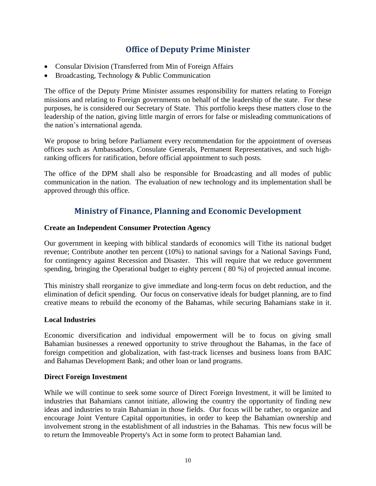## **Office of Deputy Prime Minister**

- Consular Division (Transferred from Min of Foreign Affairs
- Broadcasting, Technology & Public Communication

The office of the Deputy Prime Minister assumes responsibility for matters relating to Foreign missions and relating to Foreign governments on behalf of the leadership of the state. For these purposes, he is considered our Secretary of State. This portfolio keeps these matters close to the leadership of the nation, giving little margin of errors for false or misleading communications of the nation's international agenda.

We propose to bring before Parliament every recommendation for the appointment of overseas offices such as Ambassadors, Consulate Generals, Permanent Representatives, and such highranking officers for ratification, before official appointment to such posts.

The office of the DPM shall also be responsible for Broadcasting and all modes of public communication in the nation. The evaluation of new technology and its implementation shall be approved through this office.

## **Ministry of Finance, Planning and Economic Development**

#### **Create an Independent Consumer Protection Agency**

Our government in keeping with biblical standards of economics will Tithe its national budget revenue; Contribute another ten percent (10%) to national savings for a National Savings Fund, for contingency against Recession and Disaster. This will require that we reduce government spending, bringing the Operational budget to eighty percent ( 80 %) of projected annual income.

This ministry shall reorganize to give immediate and long-term focus on debt reduction, and the elimination of deficit spending. Our focus on conservative ideals for budget planning, are to find creative means to rebuild the economy of the Bahamas, while securing Bahamians stake in it.

#### **Local Industries**

Economic diversification and individual empowerment will be to focus on giving small Bahamian businesses a renewed opportunity to strive throughout the Bahamas, in the face of foreign competition and globalization, with fast-track licenses and business loans from BAIC and Bahamas Development Bank; and other loan or land programs.

#### **Direct Foreign Investment**

While we will continue to seek some source of Direct Foreign Investment, it will be limited to industries that Bahamians cannot initiate, allowing the country the opportunity of finding new ideas and industries to train Bahamian in those fields. Our focus will be rather, to organize and encourage Joint Venture Capital opportunities, in order to keep the Bahamian ownership and involvement strong in the establishment of all industries in the Bahamas. This new focus will be to return the Immoveable Property's Act in some form to protect Bahamian land.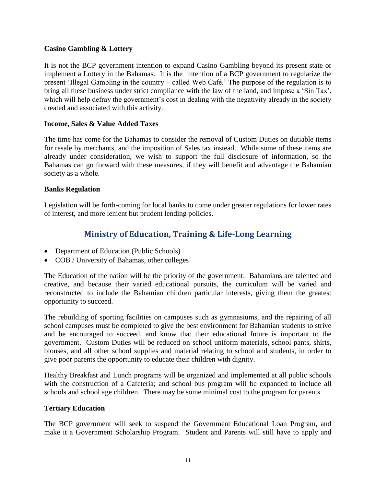#### **Casino Gambling & Lottery**

It is not the BCP government intention to expand Casino Gambling beyond its present state or implement a Lottery in the Bahamas. It is the intention of a BCP government to regularize the present 'Illegal Gambling in the country – called Web Café.' The purpose of the regulation is to bring all these business under strict compliance with the law of the land, and impose a 'Sin Tax', which will help defray the government's cost in dealing with the negativity already in the society created and associated with this activity.

#### **Income, Sales & Value Added Taxes**

The time has come for the Bahamas to consider the removal of Custom Duties on dutiable items for resale by merchants, and the imposition of Sales tax instead. While some of these items are already under consideration, we wish to support the full disclosure of information, so the Bahamas can go forward with these measures, if they will benefit and advantage the Bahamian society as a whole.

#### **Banks Regulation**

Legislation will be forth-coming for local banks to come under greater regulations for lower rates of interest, and more lenient but prudent lending policies.

## **Ministry of Education, Training & Life-Long Learning**

- Department of Education (Public Schools)
- COB / University of Bahamas, other colleges

The Education of the nation will be the priority of the government. Bahamians are talented and creative, and because their varied educational pursuits, the curriculum will be varied and reconstructed to include the Bahamian children particular interests, giving them the greatest opportunity to succeed.

The rebuilding of sporting facilities on campuses such as gymnasiums, and the repairing of all school campuses must be completed to give the best environment for Bahamian students to strive and be encouraged to succeed, and know that their educational future is important to the government. Custom Duties will be reduced on school uniform materials, school pants, shirts, blouses, and all other school supplies and material relating to school and students, in order to give poor parents the opportunity to educate their children with dignity.

Healthy Breakfast and Lunch programs will be organized and implemented at all public schools with the construction of a Cafeteria; and school bus program will be expanded to include all schools and school age children. There may be some minimal cost to the program for parents.

#### **Tertiary Education**

The BCP government will seek to suspend the Government Educational Loan Program, and make it a Government Scholarship Program. Student and Parents will still have to apply and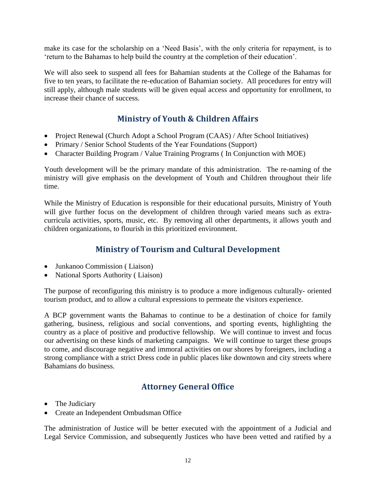make its case for the scholarship on a 'Need Basis', with the only criteria for repayment, is to 'return to the Bahamas to help build the country at the completion of their education'.

We will also seek to suspend all fees for Bahamian students at the College of the Bahamas for five to ten years, to facilitate the re-education of Bahamian society. All procedures for entry will still apply, although male students will be given equal access and opportunity for enrollment, to increase their chance of success.

## **Ministry of Youth & Children Affairs**

- Project Renewal (Church Adopt a School Program (CAAS) / After School Initiatives)
- Primary / Senior School Students of the Year Foundations (Support)
- Character Building Program / Value Training Programs ( In Conjunction with MOE)

Youth development will be the primary mandate of this administration. The re-naming of the ministry will give emphasis on the development of Youth and Children throughout their life time.

While the Ministry of Education is responsible for their educational pursuits, Ministry of Youth will give further focus on the development of children through varied means such as extracurricula activities, sports, music, etc. By removing all other departments, it allows youth and children organizations, to flourish in this prioritized environment.

## **Ministry of Tourism and Cultural Development**

- Junkanoo Commission ( Liaison)
- National Sports Authority (Liaison)

The purpose of reconfiguring this ministry is to produce a more indigenous culturally- oriented tourism product, and to allow a cultural expressions to permeate the visitors experience.

A BCP government wants the Bahamas to continue to be a destination of choice for family gathering, business, religious and social conventions, and sporting events, highlighting the country as a place of positive and productive fellowship. We will continue to invest and focus our advertising on these kinds of marketing campaigns. We will continue to target these groups to come, and discourage negative and immoral activities on our shores by foreigners, including a strong compliance with a strict Dress code in public places like downtown and city streets where Bahamians do business.

## **Attorney General Office**

- The Judiciary
- Create an Independent Ombudsman Office

The administration of Justice will be better executed with the appointment of a Judicial and Legal Service Commission, and subsequently Justices who have been vetted and ratified by a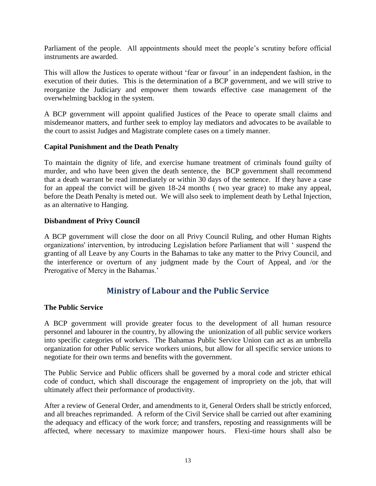Parliament of the people. All appointments should meet the people's scrutiny before official instruments are awarded.

This will allow the Justices to operate without 'fear or favour' in an independent fashion, in the execution of their duties. This is the determination of a BCP government, and we will strive to reorganize the Judiciary and empower them towards effective case management of the overwhelming backlog in the system.

A BCP government will appoint qualified Justices of the Peace to operate small claims and misdemeanor matters, and further seek to employ lay mediators and advocates to be available to the court to assist Judges and Magistrate complete cases on a timely manner.

#### **Capital Punishment and the Death Penalty**

To maintain the dignity of life, and exercise humane treatment of criminals found guilty of murder, and who have been given the death sentence, the BCP government shall recommend that a death warrant be read immediately or within 30 days of the sentence. If they have a case for an appeal the convict will be given 18-24 months ( two year grace) to make any appeal, before the Death Penalty is meted out. We will also seek to implement death by Lethal Injection, as an alternative to Hanging.

#### **Disbandment of Privy Council**

A BCP government will close the door on all Privy Council Ruling, and other Human Rights organizations' intervention, by introducing Legislation before Parliament that will ' suspend the granting of all Leave by any Courts in the Bahamas to take any matter to the Privy Council, and the interference or overturn of any judgment made by the Court of Appeal, and /or the Prerogative of Mercy in the Bahamas.'

## **Ministry of Labour and the Public Service**

#### **The Public Service**

A BCP government will provide greater focus to the development of all human resource personnel and labourer in the country, by allowing the unionization of all public service workers into specific categories of workers. The Bahamas Public Service Union can act as an umbrella organization for other Public service workers unions, but allow for all specific service unions to negotiate for their own terms and benefits with the government.

The Public Service and Public officers shall be governed by a moral code and stricter ethical code of conduct, which shall discourage the engagement of impropriety on the job, that will ultimately affect their performance of productivity.

After a review of General Order, and amendments to it, General Orders shall be strictly enforced, and all breaches reprimanded. A reform of the Civil Service shall be carried out after examining the adequacy and efficacy of the work force; and transfers, reposting and reassignments will be affected, where necessary to maximize manpower hours. Flexi-time hours shall also be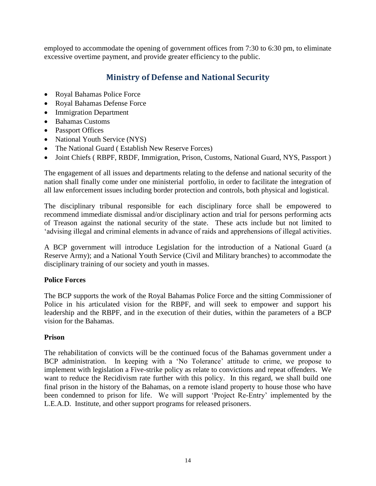employed to accommodate the opening of government offices from 7:30 to 6:30 pm, to eliminate excessive overtime payment, and provide greater efficiency to the public.

## **Ministry of Defense and National Security**

- Royal Bahamas Police Force
- Royal Bahamas Defense Force
- Immigration Department
- Bahamas Customs
- Passport Offices
- National Youth Service (NYS)
- The National Guard ( Establish New Reserve Forces)
- Joint Chiefs (RBPF, RBDF, Immigration, Prison, Customs, National Guard, NYS, Passport)

The engagement of all issues and departments relating to the defense and national security of the nation shall finally come under one ministerial portfolio, in order to facilitate the integration of all law enforcement issues including border protection and controls, both physical and logistical.

The disciplinary tribunal responsible for each disciplinary force shall be empowered to recommend immediate dismissal and/or disciplinary action and trial for persons performing acts of Treason against the national security of the state. These acts include but not limited to 'advising illegal and criminal elements in advance of raids and apprehensions of illegal activities.

A BCP government will introduce Legislation for the introduction of a National Guard (a Reserve Army); and a National Youth Service (Civil and Military branches) to accommodate the disciplinary training of our society and youth in masses.

#### **Police Forces**

The BCP supports the work of the Royal Bahamas Police Force and the sitting Commissioner of Police in his articulated vision for the RBPF, and will seek to empower and support his leadership and the RBPF, and in the execution of their duties, within the parameters of a BCP vision for the Bahamas.

#### **Prison**

The rehabilitation of convicts will be the continued focus of the Bahamas government under a BCP administration. In keeping with a 'No Tolerance' attitude to crime, we propose to implement with legislation a Five-strike policy as relate to convictions and repeat offenders. We want to reduce the Recidivism rate further with this policy. In this regard, we shall build one final prison in the history of the Bahamas, on a remote island property to house those who have been condemned to prison for life. We will support 'Project Re-Entry' implemented by the L.E.A.D. Institute, and other support programs for released prisoners.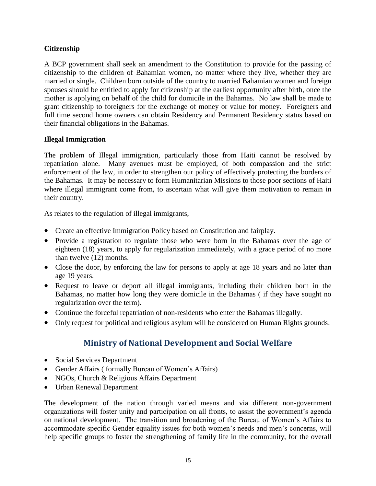#### **Citizenship**

A BCP government shall seek an amendment to the Constitution to provide for the passing of citizenship to the children of Bahamian women, no matter where they live, whether they are married or single. Children born outside of the country to married Bahamian women and foreign spouses should be entitled to apply for citizenship at the earliest opportunity after birth, once the mother is applying on behalf of the child for domicile in the Bahamas. No law shall be made to grant citizenship to foreigners for the exchange of money or value for money. Foreigners and full time second home owners can obtain Residency and Permanent Residency status based on their financial obligations in the Bahamas.

#### **Illegal Immigration**

The problem of Illegal immigration, particularly those from Haiti cannot be resolved by repatriation alone. Many avenues must be employed, of both compassion and the strict enforcement of the law, in order to strengthen our policy of effectively protecting the borders of the Bahamas. It may be necessary to form Humanitarian Missions to those poor sections of Haiti where illegal immigrant come from, to ascertain what will give them motivation to remain in their country.

As relates to the regulation of illegal immigrants,

- Create an effective Immigration Policy based on Constitution and fairplay.
- Provide a registration to regulate those who were born in the Bahamas over the age of eighteen (18) years, to apply for regularization immediately, with a grace period of no more than twelve (12) months.
- Close the door, by enforcing the law for persons to apply at age 18 years and no later than age 19 years.
- Request to leave or deport all illegal immigrants, including their children born in the Bahamas, no matter how long they were domicile in the Bahamas ( if they have sought no regularization over the term).
- Continue the forceful repatriation of non-residents who enter the Bahamas illegally.
- Only request for political and religious asylum will be considered on Human Rights grounds.

## **Ministry of National Development and Social Welfare**

- Social Services Department
- Gender Affairs ( formally Bureau of Women's Affairs)
- NGOs, Church & Religious Affairs Department
- Urban Renewal Department

The development of the nation through varied means and via different non-government organizations will foster unity and participation on all fronts, to assist the government's agenda on national development. The transition and broadening of the Bureau of Women's Affairs to accommodate specific Gender equality issues for both women's needs and men's concerns, will help specific groups to foster the strengthening of family life in the community, for the overall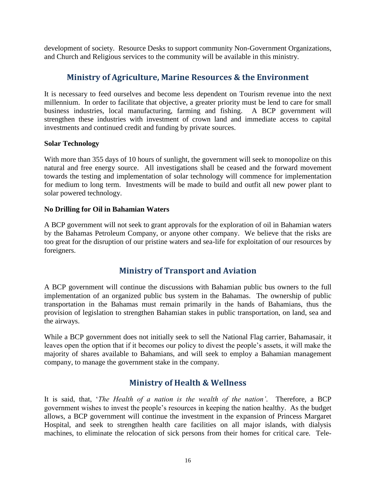development of society. Resource Desks to support community Non-Government Organizations, and Church and Religious services to the community will be available in this ministry.

## **Ministry of Agriculture, Marine Resources & the Environment**

It is necessary to feed ourselves and become less dependent on Tourism revenue into the next millennium. In order to facilitate that objective, a greater priority must be lend to care for small business industries, local manufacturing, farming and fishing. A BCP government will strengthen these industries with investment of crown land and immediate access to capital investments and continued credit and funding by private sources.

#### **Solar Technology**

With more than 355 days of 10 hours of sunlight, the government will seek to monopolize on this natural and free energy source. All investigations shall be ceased and the forward movement towards the testing and implementation of solar technology will commence for implementation for medium to long term. Investments will be made to build and outfit all new power plant to solar powered technology.

#### **No Drilling for Oil in Bahamian Waters**

A BCP government will not seek to grant approvals for the exploration of oil in Bahamian waters by the Bahamas Petroleum Company, or anyone other company. We believe that the risks are too great for the disruption of our pristine waters and sea-life for exploitation of our resources by foreigners.

## **Ministry of Transport and Aviation**

A BCP government will continue the discussions with Bahamian public bus owners to the full implementation of an organized public bus system in the Bahamas. The ownership of public transportation in the Bahamas must remain primarily in the hands of Bahamians, thus the provision of legislation to strengthen Bahamian stakes in public transportation, on land, sea and the airways.

While a BCP government does not initially seek to sell the National Flag carrier, Bahamasair, it leaves open the option that if it becomes our policy to divest the people's assets, it will make the majority of shares available to Bahamians, and will seek to employ a Bahamian management company, to manage the government stake in the company.

## **Ministry of Health & Wellness**

It is said, that, '*The Health of a nation is the wealth of the nation'*. Therefore, a BCP government wishes to invest the people's resources in keeping the nation healthy. As the budget allows, a BCP government will continue the investment in the expansion of Princess Margaret Hospital, and seek to strengthen health care facilities on all major islands, with dialysis machines, to eliminate the relocation of sick persons from their homes for critical care. Tele